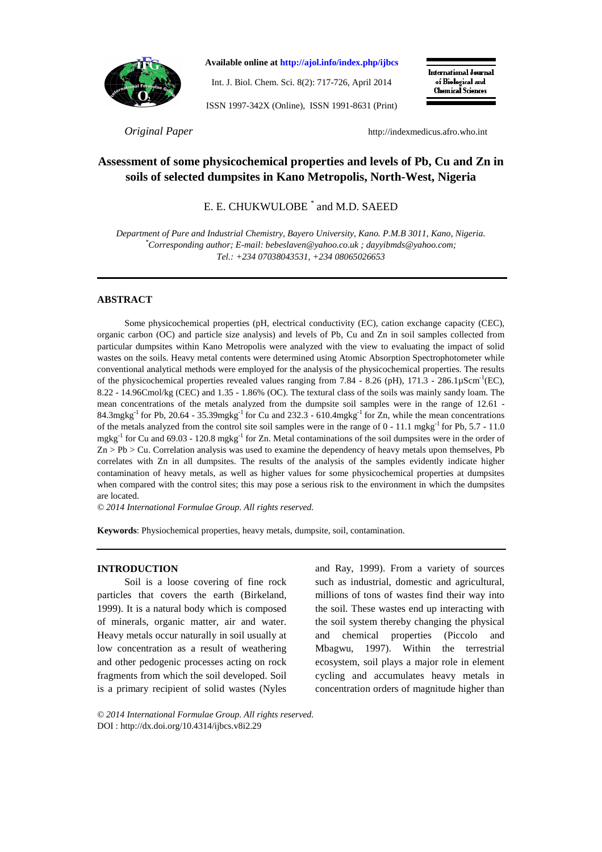

**Available online at http://ajol.info/index.php/ijbcs**

Int. J. Biol. Chem. Sci. 8(2): 717-726, April 2014

ISSN 1997-342X (Online), ISSN 1991-8631 (Print)

**International Journal** of Biological and **Chemical Sciences** 

*Original Paper* http://indexmedicus.afro.who.int

# **Assessment of some physicochemical properties and levels of Pb, Cu and Zn in soils of selected dumpsites in Kano Metropolis, North-West, Nigeria**

# E. E. CHUKWULOBE \* and M.D. SAEED

*Department of Pure and Industrial Chemistry, Bayero University, Kano. P.M.B 3011, Kano, Nigeria. \*Corresponding author; E-mail: bebeslaven@yahoo.co.uk ; dayyibmds@yahoo.com; Tel.: +234 07038043531, +234 08065026653* 

#### **ABSTRACT**

Some physicochemical properties (pH, electrical conductivity (EC), cation exchange capacity (CEC), organic carbon (OC) and particle size analysis) and levels of Pb, Cu and Zn in soil samples collected from particular dumpsites within Kano Metropolis were analyzed with the view to evaluating the impact of solid wastes on the soils. Heavy metal contents were determined using Atomic Absorption Spectrophotometer while conventional analytical methods were employed for the analysis of the physicochemical properties. The results of the physicochemical properties revealed values ranging from 7.84 - 8.26 (pH), 171.3 - 286.1 $\mu$ Scm<sup>-1</sup>(EC), 8.22 - 14.96Cmol/kg (CEC) and 1.35 - 1.86% (OC). The textural class of the soils was mainly sandy loam. The mean concentrations of the metals analyzed from the dumpsite soil samples were in the range of 12.61 - 84.3mgkg<sup>-1</sup> for Pb, 20.64 - 35.39mgkg<sup>-1</sup> for Cu and 232.3 -  $610.4$ mgkg<sup>-1</sup> for Zn, while the mean concentrations of the metals analyzed from the control site soil samples were in the range of  $0 - 11.1$  mgkg<sup>-1</sup> for Pb, 5.7 - 11.0 mgkg<sup>-1</sup> for Cu and 69.03 - 120.8 mgkg<sup>-1</sup> for Zn. Metal contaminations of the soil dumpsites were in the order of  $Zn > Pb > Cu$ . Correlation analysis was used to examine the dependency of heavy metals upon themselves, Pb correlates with Zn in all dumpsites. The results of the analysis of the samples evidently indicate higher contamination of heavy metals, as well as higher values for some physicochemical properties at dumpsites when compared with the control sites; this may pose a serious risk to the environment in which the dumpsites are located.

*© 2014 International Formulae Group. All rights reserved.* 

**Keywords**: Physiochemical properties, heavy metals, dumpsite, soil, contamination.

### **INTRODUCTION**

Soil is a loose covering of fine rock particles that covers the earth (Birkeland, 1999). It is a natural body which is composed of minerals, organic matter, air and water. Heavy metals occur naturally in soil usually at low concentration as a result of weathering and other pedogenic processes acting on rock fragments from which the soil developed. Soil is a primary recipient of solid wastes (Nyles and Ray, 1999). From a variety of sources such as industrial, domestic and agricultural, millions of tons of wastes find their way into the soil. These wastes end up interacting with the soil system thereby changing the physical and chemical properties (Piccolo and Mbagwu, 1997). Within the terrestrial ecosystem, soil plays a major role in element cycling and accumulates heavy metals in concentration orders of magnitude higher than

*© 2014 International Formulae Group. All rights reserved.*  DOI : http://dx.doi.org/10.4314/ijbcs.v8i2.29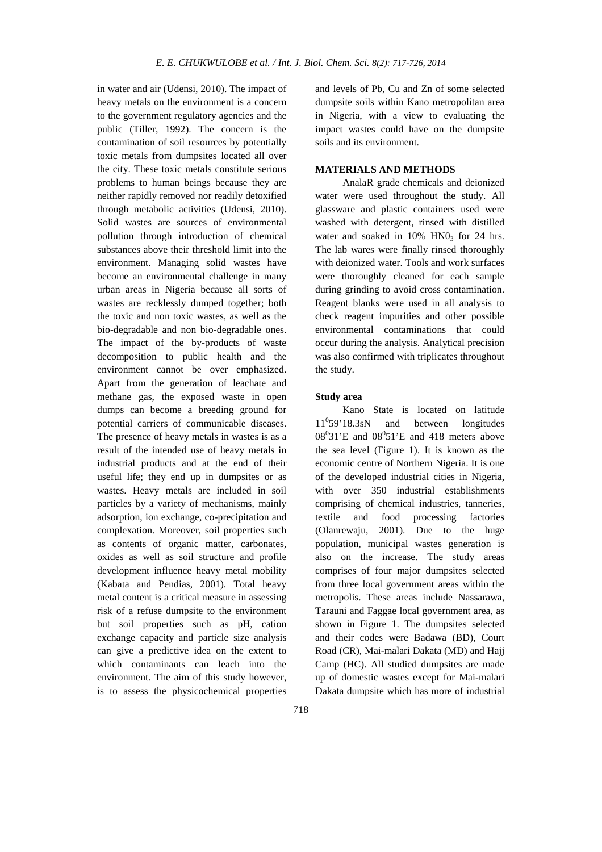in water and air (Udensi, 2010). The impact of heavy metals on the environment is a concern to the government regulatory agencies and the public (Tiller, 1992). The concern is the contamination of soil resources by potentially toxic metals from dumpsites located all over the city. These toxic metals constitute serious problems to human beings because they are neither rapidly removed nor readily detoxified through metabolic activities (Udensi, 2010). Solid wastes are sources of environmental pollution through introduction of chemical substances above their threshold limit into the environment. Managing solid wastes have become an environmental challenge in many urban areas in Nigeria because all sorts of wastes are recklessly dumped together; both the toxic and non toxic wastes, as well as the bio-degradable and non bio-degradable ones. The impact of the by-products of waste decomposition to public health and the environment cannot be over emphasized. Apart from the generation of leachate and methane gas, the exposed waste in open dumps can become a breeding ground for potential carriers of communicable diseases. The presence of heavy metals in wastes is as a result of the intended use of heavy metals in industrial products and at the end of their useful life; they end up in dumpsites or as wastes. Heavy metals are included in soil particles by a variety of mechanisms, mainly adsorption, ion exchange, co-precipitation and complexation. Moreover, soil properties such as contents of organic matter, carbonates, oxides as well as soil structure and profile development influence heavy metal mobility (Kabata and Pendias, 2001). Total heavy metal content is a critical measure in assessing risk of a refuse dumpsite to the environment but soil properties such as pH, cation exchange capacity and particle size analysis can give a predictive idea on the extent to which contaminants can leach into the environment. The aim of this study however, is to assess the physicochemical properties

and levels of Pb, Cu and Zn of some selected dumpsite soils within Kano metropolitan area in Nigeria, with a view to evaluating the impact wastes could have on the dumpsite soils and its environment.

# **MATERIALS AND METHODS**

AnalaR grade chemicals and deionized water were used throughout the study. All glassware and plastic containers used were washed with detergent, rinsed with distilled water and soaked in  $10\%$  HN0<sub>3</sub> for 24 hrs. The lab wares were finally rinsed thoroughly with deionized water. Tools and work surfaces were thoroughly cleaned for each sample during grinding to avoid cross contamination. Reagent blanks were used in all analysis to check reagent impurities and other possible environmental contaminations that could occur during the analysis. Analytical precision was also confirmed with triplicates throughout the study.

#### **Study area**

Kano State is located on latitude  $11<sup>0</sup>59'18.3sN$ and between longitudes  $08^031$ 'E and  $08^051$ 'E and 418 meters above the sea level (Figure 1). It is known as the economic centre of Northern Nigeria. It is one of the developed industrial cities in Nigeria, with over 350 industrial establishments comprising of chemical industries, tanneries, textile and food processing factories (Olanrewaju, 2001). Due to the huge population, municipal wastes generation is also on the increase. The study areas comprises of four major dumpsites selected from three local government areas within the metropolis. These areas include Nassarawa, Tarauni and Faggae local government area, as shown in Figure 1. The dumpsites selected and their codes were Badawa (BD), Court Road (CR), Mai-malari Dakata (MD) and Hajj Camp (HC). All studied dumpsites are made up of domestic wastes except for Mai-malari Dakata dumpsite which has more of industrial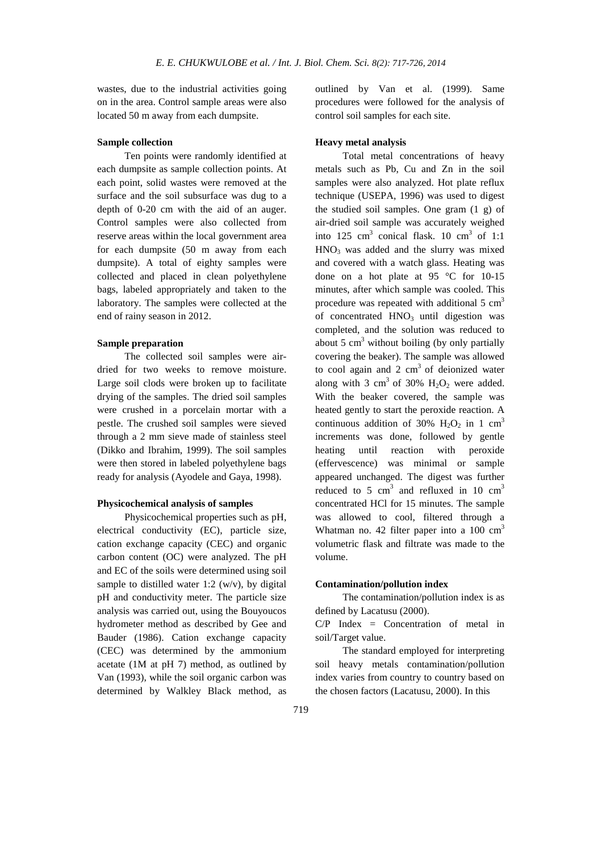wastes, due to the industrial activities going on in the area. Control sample areas were also located 50 m away from each dumpsite.

## **Sample collection**

Ten points were randomly identified at each dumpsite as sample collection points. At each point, solid wastes were removed at the surface and the soil subsurface was dug to a depth of 0-20 cm with the aid of an auger. Control samples were also collected from reserve areas within the local government area for each dumpsite (50 m away from each dumpsite). A total of eighty samples were collected and placed in clean polyethylene bags, labeled appropriately and taken to the laboratory. The samples were collected at the end of rainy season in 2012.

## **Sample preparation**

The collected soil samples were airdried for two weeks to remove moisture. Large soil clods were broken up to facilitate drying of the samples. The dried soil samples were crushed in a porcelain mortar with a pestle. The crushed soil samples were sieved through a 2 mm sieve made of stainless steel (Dikko and Ibrahim, 1999). The soil samples were then stored in labeled polyethylene bags ready for analysis (Ayodele and Gaya, 1998).

# **Physicochemical analysis of samples**

Physicochemical properties such as pH, electrical conductivity (EC), particle size, cation exchange capacity (CEC) and organic carbon content (OC) were analyzed. The pH and EC of the soils were determined using soil sample to distilled water 1:2  $(w/v)$ , by digital pH and conductivity meter. The particle size analysis was carried out, using the Bouyoucos hydrometer method as described by Gee and Bauder (1986). Cation exchange capacity (CEC) was determined by the ammonium acetate (1M at pH 7) method, as outlined by Van (1993), while the soil organic carbon was determined by Walkley Black method, as

outlined by Van et al. (1999). Same procedures were followed for the analysis of control soil samples for each site.

# **Heavy metal analysis**

Total metal concentrations of heavy metals such as Pb, Cu and Zn in the soil samples were also analyzed. Hot plate reflux technique (USEPA, 1996) was used to digest the studied soil samples. One gram (1 g) of air-dried soil sample was accurately weighed into  $125 \text{ cm}^3$  conical flask.  $10 \text{ cm}^3$  of  $1:1$  $HNO<sub>3</sub>$  was added and the slurry was mixed and covered with a watch glass. Heating was done on a hot plate at 95 °C for 10-15 minutes, after which sample was cooled. This procedure was repeated with additional  $5 \text{ cm}^3$ of concentrated  $HNO<sub>3</sub>$  until digestion was completed, and the solution was reduced to about 5  $\text{cm}^3$  without boiling (by only partially covering the beaker). The sample was allowed to cool again and  $2 \text{ cm}^3$  of deionized water along with 3  $\text{cm}^3$  of 30% H<sub>2</sub>O<sub>2</sub> were added. With the beaker covered, the sample was heated gently to start the peroxide reaction. A continuous addition of 30% H<sub>2</sub>O<sub>2</sub> in 1 cm<sup>3</sup> increments was done, followed by gentle heating until reaction with peroxide (effervescence) was minimal or sample appeared unchanged. The digest was further reduced to 5  $\text{cm}^3$  and refluxed in 10  $\text{cm}^3$ concentrated HCl for 15 minutes. The sample was allowed to cool, filtered through a Whatman no. 42 filter paper into a 100 cm<sup>3</sup> volumetric flask and filtrate was made to the volume.

#### **Contamination/pollution index**

The contamination/pollution index is as defined by Lacatusu (2000).

C/P Index = Concentration of metal in soil/Target value.

The standard employed for interpreting soil heavy metals contamination/pollution index varies from country to country based on the chosen factors (Lacatusu, 2000). In this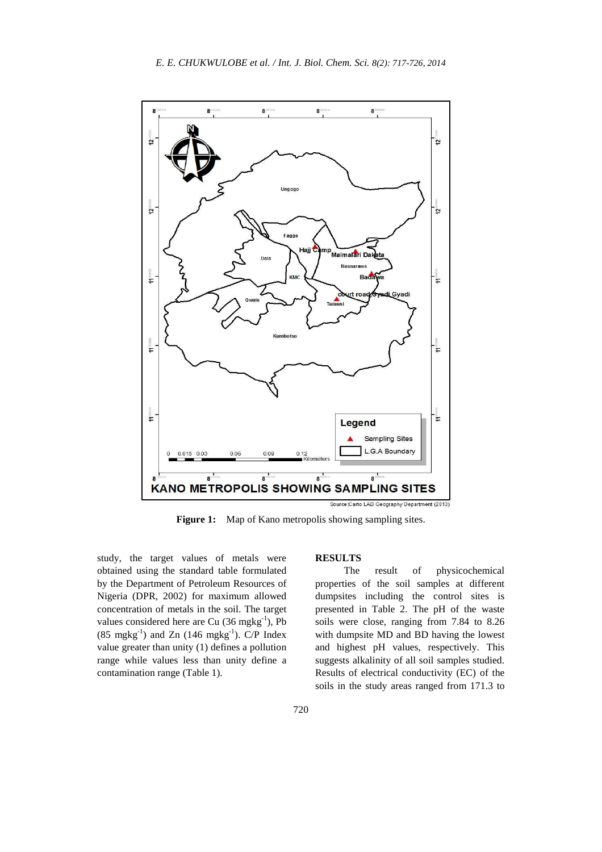

Figure 1: Map of Kano metropolis showing sampling sites.

study, the target values of metals were obtained using the standard table formulated by the Department of Petroleum Resources of Nigeria (DPR, 2002) for maximum allowed concentration of metals in the soil. The target values considered here are Cu  $(36 \text{ mgkg}^{-1})$ , Pb  $(85 \text{ mgkg}^{-1})$  and Zn  $(146 \text{ mgkg}^{-1})$ . C/P Index value greater than unity (1) defines a pollution range while values less than unity define a contamination range (Table 1).

# **RESULTS**

The result of physicochemical properties of the soil samples at different dumpsites including the control sites is presented in Table 2. The pH of the waste soils were close, ranging from 7.84 to 8.26 with dumpsite MD and BD having the lowest and highest pH values, respectively. This suggests alkalinity of all soil samples studied. Results of electrical conductivity (EC) of the soils in the study areas ranged from 171.3 to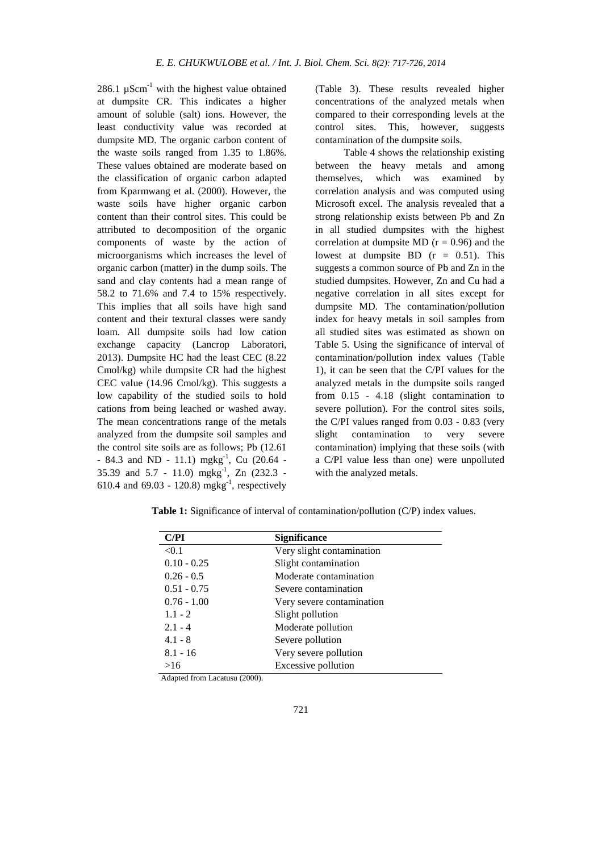286.1  $\mu$ Scm<sup>-1</sup> with the highest value obtained at dumpsite CR. This indicates a higher amount of soluble (salt) ions. However, the least conductivity value was recorded at dumpsite MD. The organic carbon content of the waste soils ranged from 1.35 to 1.86%. These values obtained are moderate based on the classification of organic carbon adapted from Kparmwang et al. (2000). However, the waste soils have higher organic carbon content than their control sites. This could be attributed to decomposition of the organic components of waste by the action of microorganisms which increases the level of organic carbon (matter) in the dump soils. The sand and clay contents had a mean range of 58.2 to 71.6% and 7.4 to 15% respectively. This implies that all soils have high sand content and their textural classes were sandy loam. All dumpsite soils had low cation exchange capacity (Lancrop Laboratori, 2013). Dumpsite HC had the least CEC (8.22 Cmol/kg) while dumpsite CR had the highest CEC value (14.96 Cmol/kg). This suggests a low capability of the studied soils to hold cations from being leached or washed away. The mean concentrations range of the metals analyzed from the dumpsite soil samples and the control site soils are as follows; Pb (12.61 - 84.3 and ND - 11.1) mgkg-1, Cu (20.64 - 35.39 and 5.7 - 11.0) mgkg<sup>-1</sup>, Zn (232.3 -610.4 and 69.03 - 120.8) mgkg<sup>-1</sup>, respectively

(Table 3). These results revealed higher concentrations of the analyzed metals when compared to their corresponding levels at the control sites. This, however, suggests contamination of the dumpsite soils.

Table 4 shows the relationship existing between the heavy metals and among themselves, which was examined by correlation analysis and was computed using Microsoft excel. The analysis revealed that a strong relationship exists between Pb and Zn in all studied dumpsites with the highest correlation at dumpsite MD  $(r = 0.96)$  and the lowest at dumpsite BD  $(r = 0.51)$ . This suggests a common source of Pb and Zn in the studied dumpsites. However, Zn and Cu had a negative correlation in all sites except for dumpsite MD. The contamination/pollution index for heavy metals in soil samples from all studied sites was estimated as shown on Table 5. Using the significance of interval of contamination/pollution index values (Table 1), it can be seen that the C/PI values for the analyzed metals in the dumpsite soils ranged from 0.15 - 4.18 (slight contamination to severe pollution). For the control sites soils, the C/PI values ranged from 0.03 - 0.83 (very slight contamination to very severe contamination) implying that these soils (with a C/PI value less than one) were unpolluted with the analyzed metals.

**Table 1:** Significance of interval of contamination/pollution (C/P) index values.

| C/PI          | <b>Significance</b>       |
|---------------|---------------------------|
| < 0.1         | Very slight contamination |
| $0.10 - 0.25$ | Slight contamination      |
| $0.26 - 0.5$  | Moderate contamination    |
| $0.51 - 0.75$ | Severe contamination      |
| $0.76 - 1.00$ | Very severe contamination |
| $1.1 - 2$     | Slight pollution          |
| $2.1 - 4$     | Moderate pollution        |
| $4.1 - 8$     | Severe pollution          |
| $8.1 - 16$    | Very severe pollution     |
| >16           | Excessive pollution       |

Adapted from Lacatusu (2000).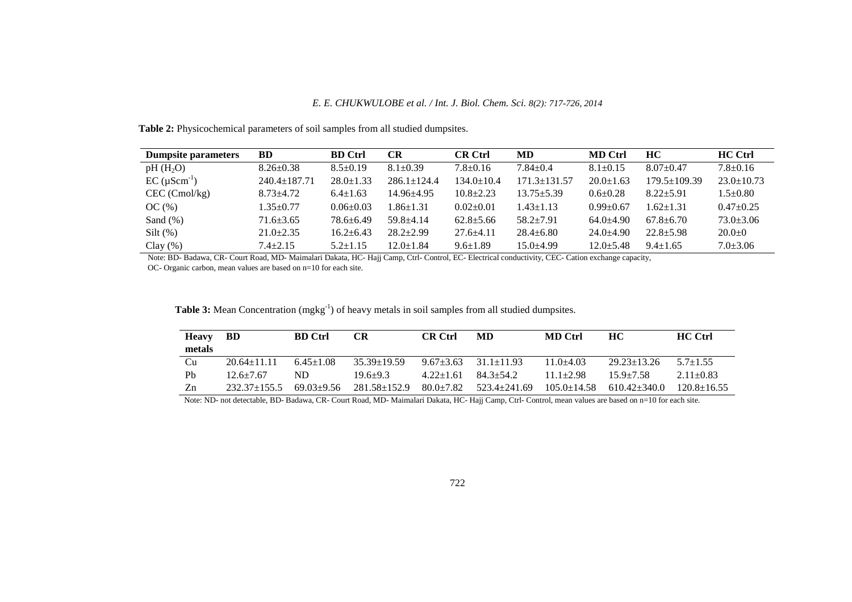| Dumpsite parameters | <b>BD</b>          | <b>BD</b> Ctrl  | CR                | <b>CR</b> Ctrl   | MD                 | <b>MD Ctrl</b>  | HС                 | <b>HC</b> Ctrl   |
|---------------------|--------------------|-----------------|-------------------|------------------|--------------------|-----------------|--------------------|------------------|
| $pH(H_2O)$          | $8.26 \pm 0.38$    | $8.5 \pm 0.19$  | $8.1 \pm 0.39$    | $7.8 \pm 0.16$   | $7.84 + 0.4$       | $8.1 \pm 0.15$  | $8.07+0.47$        | $7.8 \pm 0.16$   |
| $EC (\mu Scm^{-1})$ | $240.4 \pm 187.71$ | $28.0 \pm 1.33$ | $286.1 \pm 124.4$ | $134.0 \pm 10.4$ | $171.3 \pm 131.57$ | $20.0 \pm 1.63$ | $179.5 \pm 109.39$ | $23.0 \pm 10.73$ |
| $CEC$ (Cmol/kg)     | $8.73 \pm 4.72$    | $6.4 \pm 1.63$  | $14.96 \pm 4.95$  | $10.8 \pm 2.23$  | $13.75 + 5.39$     | $0.6 \pm 0.28$  | $8.22 + 5.91$      | $.5 \pm 0.80$    |
| OC(%)               | $1.35 \pm 0.77$    | $0.06 \pm 0.03$ | $1.86 \pm 1.31$   | $0.02 \pm 0.01$  | $1.43 \pm 1.13$    | $0.99 + 0.67$   | $1.62 + 1.31$      | $0.47+0.25$      |
| Sand $(\%)$         | $71.6 \pm 3.65$    | $78.6 \pm 6.49$ | $59.8 + 4.14$     | $62.8 + 5.66$    | $58.2 + 7.91$      | $64.0 + 4.90$   | $67.8 + 6.70$      | $73.0 \pm 3.06$  |
| $Silt(\%)$          | $21.0+2.35$        | $16.2 + 6.43$   | $28.2+2.99$       | $27.6 + 4.11$    | $28.4 \pm 6.80$    | $24.0 + 4.90$   | $22.8 + 5.98$      | $20.0 \pm 0$     |
| Clay $(\%)$         | $7.4 \pm 2.15$     | $5.2 \pm 1.15$  | $12.0 \pm 1.84$   | $9.6 \pm 1.89$   | $15.0 + 4.99$      | $12.0 \pm 5.48$ | $9.4 \pm 1.65$     | $7.0 \pm 3.06$   |

**Table 2:** Physicochemical parameters of soil samples from all studied dumpsites.

Note: BD- Badawa, CR- Court Road, MD- Maimalari Dakata, HC- Hajj Camp, Ctrl- Control, EC- Electrical conductivity, CEC- Cation exchange capacity, OC- Organic carbon, mean values are based on n=10 for each site.

Table 3: Mean Concentration (mgkg<sup>-1</sup>) of heavy metals in soil samples from all studied dumpsites.

| <b>Heavy</b><br>metals | <b>BD</b>       | <b>BD</b> Ctrl | CR                 | <b>CR</b> Ctrl | MD             | <b>MD Ctrl</b>    | HC.              | <b>HC</b> Ctrl  |
|------------------------|-----------------|----------------|--------------------|----------------|----------------|-------------------|------------------|-----------------|
| Cu                     | $20.64 + 11.11$ | $6.45 + 1.08$  | $35.39 \pm 19.59$  | $9.67 + 3.63$  | $31.1 + 11.93$ | $11.0 + 4.03$     | $29.23 + 13.26$  | $5.7 + 1.55$    |
| Ph                     | $12.6 + 7.67$   | ND.            | $19.6 + 9.3$       | $4.22+1.61$    | 84.3+54.2      | $11.1 + 2.98$     | $15.9 + 7.58$    | $2.11 + 0.83$   |
| Zn                     | $232.37+155.5$  | $69.03+9.56$   | $281.58 \pm 152.9$ | $80.0 + 7.82$  | 523.4±241.69   | $105.0 \pm 14.58$ | $610.42 + 340.0$ | $120.8 + 16.55$ |

Note: ND- not detectable, BD- Badawa, CR- Court Road, MD- Maimalari Dakata, HC- Hajj Camp, Ctrl- Control, mean values are based on n=10 for each site.

722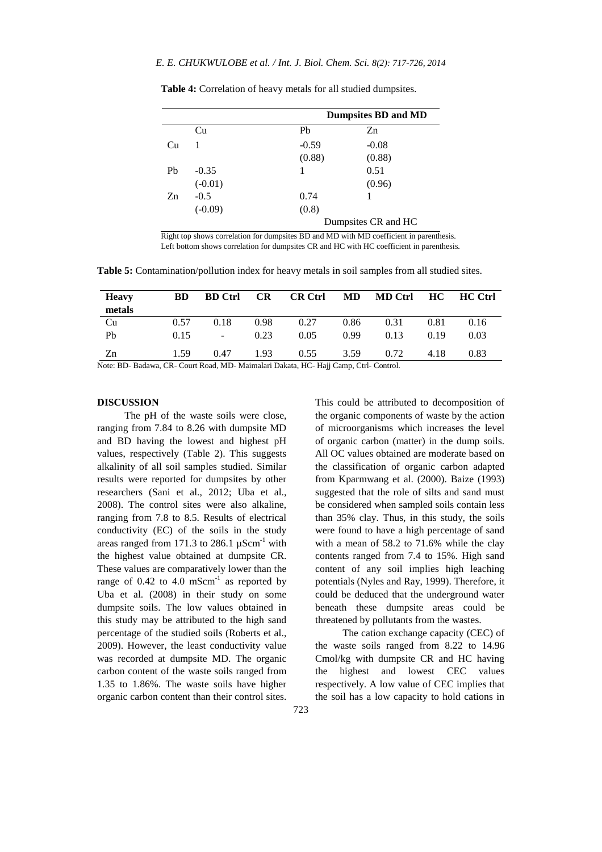|    |           | Dumpsites BD and MD |         |  |  |
|----|-----------|---------------------|---------|--|--|
|    | Cu        | Pb                  | Zn      |  |  |
| Cu |           | $-0.59$             | $-0.08$ |  |  |
|    |           | (0.88)              | (0.88)  |  |  |
| Pb | $-0.35$   |                     | 0.51    |  |  |
|    | $(-0.01)$ |                     | (0.96)  |  |  |
| Zn | $-0.5$    | 0.74                |         |  |  |
|    | $(-0.09)$ | (0.8)               |         |  |  |
|    |           | Dumpsites CR and HC |         |  |  |

**Table 4:** Correlation of heavy metals for all studied dumpsites.

Right top shows correlation for dumpsites BD and MD with MD coefficient in parenthesis. Left bottom shows correlation for dumpsites CR and HC with HC coefficient in parenthesis.

**Table 5:** Contamination/pollution index for heavy metals in soil samples from all studied sites.

| <b>BD</b> | <b>BD</b> Ctrl | <b>CR</b> | <b>CR</b> Ctrl | <b>MD</b> |      | HC -    | <b>HC Ctrl</b> |
|-----------|----------------|-----------|----------------|-----------|------|---------|----------------|
|           |                |           |                |           |      |         |                |
| 0.57      | 0.18           | 0.98      | 0.27           | 0.86      | 0.31 | 0.81    | 0.16           |
| 0.15      | $\sim$         | 0.23      | 0.05           | 0.99      | 0.13 | 0.19    | 0.03           |
| 1.59      | 0.47           | 1.93      | 0.55           | 3.59      | 0.72 | 4.18    | 0.83           |
|           |                |           |                |           |      | MD Ctrl |                |

ari Dakata, HC- Hajj C

#### **DISCUSSION**

The pH of the waste soils were close, ranging from 7.84 to 8.26 with dumpsite MD and BD having the lowest and highest pH values, respectively (Table 2). This suggests alkalinity of all soil samples studied. Similar results were reported for dumpsites by other researchers (Sani et al., 2012; Uba et al., 2008). The control sites were also alkaline, ranging from 7.8 to 8.5. Results of electrical conductivity (EC) of the soils in the study areas ranged from 171.3 to 286.1  $\mu$ Scm<sup>-1</sup> with the highest value obtained at dumpsite CR. These values are comparatively lower than the range of  $0.42$  to  $4.0$  mScm<sup>-1</sup> as reported by Uba et al. (2008) in their study on some dumpsite soils. The low values obtained in this study may be attributed to the high sand percentage of the studied soils (Roberts et al., 2009). However, the least conductivity value was recorded at dumpsite MD. The organic carbon content of the waste soils ranged from 1.35 to 1.86%. The waste soils have higher organic carbon content than their control sites. This could be attributed to decomposition of the organic components of waste by the action of microorganisms which increases the level of organic carbon (matter) in the dump soils. All OC values obtained are moderate based on the classification of organic carbon adapted from Kparmwang et al. (2000). Baize (1993) suggested that the role of silts and sand must be considered when sampled soils contain less than 35% clay. Thus, in this study, the soils were found to have a high percentage of sand with a mean of 58.2 to 71.6% while the clay contents ranged from 7.4 to 15%. High sand content of any soil implies high leaching potentials (Nyles and Ray, 1999). Therefore, it could be deduced that the underground water beneath these dumpsite areas could be threatened by pollutants from the wastes.

The cation exchange capacity (CEC) of the waste soils ranged from 8.22 to 14.96 Cmol/kg with dumpsite CR and HC having the highest and lowest CEC values respectively. A low value of CEC implies that the soil has a low capacity to hold cations in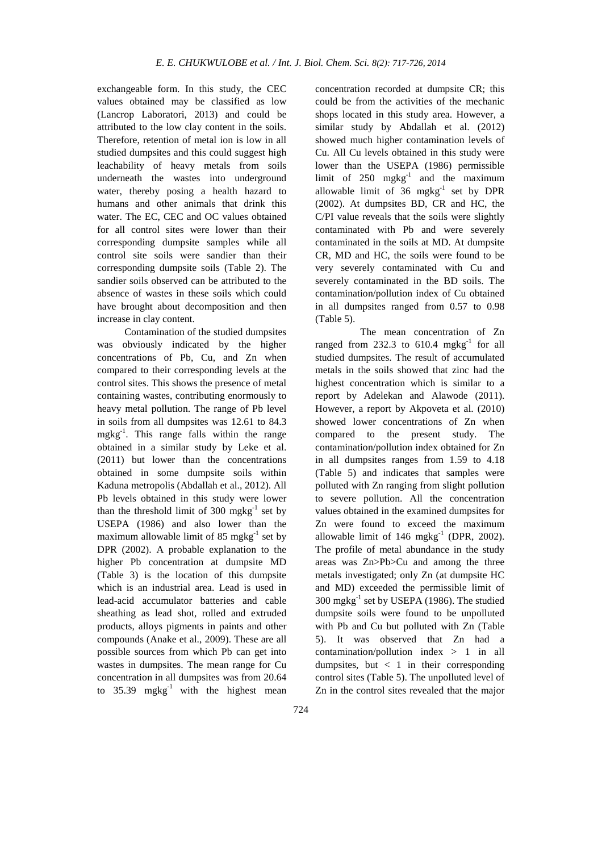exchangeable form. In this study, the CEC values obtained may be classified as low (Lancrop Laboratori, 2013) and could be attributed to the low clay content in the soils. Therefore, retention of metal ion is low in all studied dumpsites and this could suggest high leachability of heavy metals from soils underneath the wastes into underground water, thereby posing a health hazard to humans and other animals that drink this water. The EC, CEC and OC values obtained for all control sites were lower than their corresponding dumpsite samples while all control site soils were sandier than their corresponding dumpsite soils (Table 2). The sandier soils observed can be attributed to the absence of wastes in these soils which could have brought about decomposition and then increase in clay content.

Contamination of the studied dumpsites was obviously indicated by the higher concentrations of Pb, Cu, and Zn when compared to their corresponding levels at the control sites. This shows the presence of metal containing wastes, contributing enormously to heavy metal pollution. The range of Pb level in soils from all dumpsites was 12.61 to 84.3  $mgkg^{-1}$ . This range falls within the range obtained in a similar study by Leke et al. (2011) but lower than the concentrations obtained in some dumpsite soils within Kaduna metropolis (Abdallah et al., 2012). All Pb levels obtained in this study were lower than the threshold limit of 300 mgkg $^{-1}$  set by USEPA (1986) and also lower than the maximum allowable limit of  $85 \text{ mgkg}^{-1}$  set by DPR (2002). A probable explanation to the higher Pb concentration at dumpsite MD (Table 3) is the location of this dumpsite which is an industrial area. Lead is used in lead-acid accumulator batteries and cable sheathing as lead shot, rolled and extruded products, alloys pigments in paints and other compounds (Anake et al., 2009). These are all possible sources from which Pb can get into wastes in dumpsites. The mean range for Cu concentration in all dumpsites was from 20.64 to  $35.39$  mgkg<sup>-1</sup> with the highest mean concentration recorded at dumpsite CR; this could be from the activities of the mechanic shops located in this study area. However, a similar study by Abdallah et al. (2012) showed much higher contamination levels of Cu. All Cu levels obtained in this study were lower than the USEPA (1986) permissible limit of  $250 \text{ m}$ gkg<sup>-1</sup> and the maximum allowable limit of 36 mgkg $^{-1}$  set by DPR (2002). At dumpsites BD, CR and HC, the C/PI value reveals that the soils were slightly contaminated with Pb and were severely contaminated in the soils at MD. At dumpsite CR, MD and HC, the soils were found to be very severely contaminated with Cu and severely contaminated in the BD soils. The contamination/pollution index of Cu obtained in all dumpsites ranged from 0.57 to 0.98 (Table 5).

 The mean concentration of Zn ranged from 232.3 to  $610.4$  mgkg<sup>-1</sup> for all studied dumpsites. The result of accumulated metals in the soils showed that zinc had the highest concentration which is similar to a report by Adelekan and Alawode (2011). However, a report by Akpoveta et al. (2010) showed lower concentrations of Zn when compared to the present study. The contamination/pollution index obtained for Zn in all dumpsites ranges from 1.59 to 4.18 (Table 5) and indicates that samples were polluted with Zn ranging from slight pollution to severe pollution. All the concentration values obtained in the examined dumpsites for Zn were found to exceed the maximum allowable limit of  $146 \text{ mgkg}^{-1}$  (DPR, 2002). The profile of metal abundance in the study areas was Zn>Pb>Cu and among the three metals investigated; only Zn (at dumpsite HC and MD) exceeded the permissible limit of  $300 \text{ mgkg}^{-1}$  set by USEPA (1986). The studied dumpsite soils were found to be unpolluted with Pb and Cu but polluted with Zn (Table 5). It was observed that Zn had a contamination/pollution index > 1 in all dumpsites, but  $\langle 1 \rangle$  in their corresponding control sites (Table 5). The unpolluted level of Zn in the control sites revealed that the major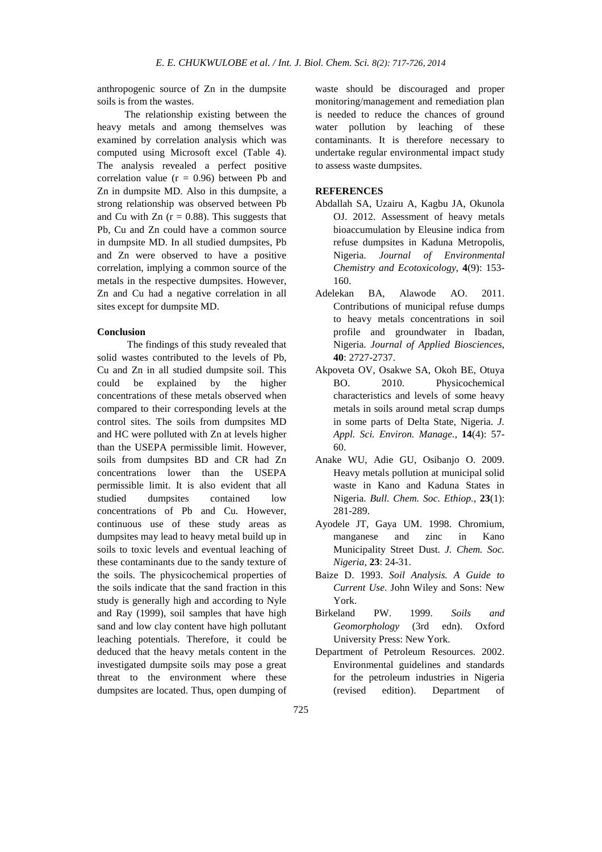anthropogenic source of Zn in the dumpsite soils is from the wastes.

The relationship existing between the heavy metals and among themselves was examined by correlation analysis which was computed using Microsoft excel (Table 4). The analysis revealed a perfect positive correlation value  $(r = 0.96)$  between Pb and Zn in dumpsite MD. Also in this dumpsite, a strong relationship was observed between Pb and Cu with  $Zn$  ( $r = 0.88$ ). This suggests that Pb, Cu and Zn could have a common source in dumpsite MD. In all studied dumpsites, Pb and Zn were observed to have a positive correlation, implying a common source of the metals in the respective dumpsites. However, Zn and Cu had a negative correlation in all sites except for dumpsite MD.

#### **Conclusion**

 The findings of this study revealed that solid wastes contributed to the levels of Pb, Cu and Zn in all studied dumpsite soil. This could be explained by the higher concentrations of these metals observed when compared to their corresponding levels at the control sites. The soils from dumpsites MD and HC were polluted with Zn at levels higher than the USEPA permissible limit. However, soils from dumpsites BD and CR had Zn concentrations lower than the USEPA permissible limit. It is also evident that all studied dumpsites contained low concentrations of Pb and Cu. However, continuous use of these study areas as dumpsites may lead to heavy metal build up in soils to toxic levels and eventual leaching of these contaminants due to the sandy texture of the soils. The physicochemical properties of the soils indicate that the sand fraction in this study is generally high and according to Nyle and Ray (1999), soil samples that have high sand and low clay content have high pollutant leaching potentials. Therefore, it could be deduced that the heavy metals content in the investigated dumpsite soils may pose a great threat to the environment where these dumpsites are located. Thus, open dumping of

waste should be discouraged and proper monitoring/management and remediation plan is needed to reduce the chances of ground water pollution by leaching of these contaminants. It is therefore necessary to undertake regular environmental impact study to assess waste dumpsites.

### **REFERENCES**

- Abdallah SA, Uzairu A, Kagbu JA, Okunola OJ. 2012. Assessment of heavy metals bioaccumulation by Eleusine indica from refuse dumpsites in Kaduna Metropolis, Nigeria. *Journal of Environmental Chemistry and Ecotoxicology*, **4**(9): 153- 160.
- Adelekan BA, Alawode AO. 2011. Contributions of municipal refuse dumps to heavy metals concentrations in soil profile and groundwater in Ibadan, Nigeria. *Journal of Applied Biosciences*, **40**: 2727-2737.
- Akpoveta OV, Osakwe SA, Okoh BE, Otuya BO. 2010. Physicochemical characteristics and levels of some heavy metals in soils around metal scrap dumps in some parts of Delta State, Nigeria. *J. Appl. Sci. Environ. Manage.*, **14**(4): 57- 60.
- Anake WU, Adie GU, Osibanjo O. 2009. Heavy metals pollution at municipal solid waste in Kano and Kaduna States in Nigeria. *Bull. Chem. Soc. Ethiop.*, **23**(1): 281-289.
- Ayodele JT, Gaya UM. 1998. Chromium, manganese and zinc in Kano Municipality Street Dust. *J. Chem. Soc. Nigeria*, **23**: 24-31.
- Baize D. 1993. *Soil Analysis. A Guide to Current Use*. John Wiley and Sons: New York.
- Birkeland PW. 1999. *Soils and Geomorphology* (3rd edn). Oxford University Press: New York.
- Department of Petroleum Resources. 2002. Environmental guidelines and standards for the petroleum industries in Nigeria (revised edition). Department of